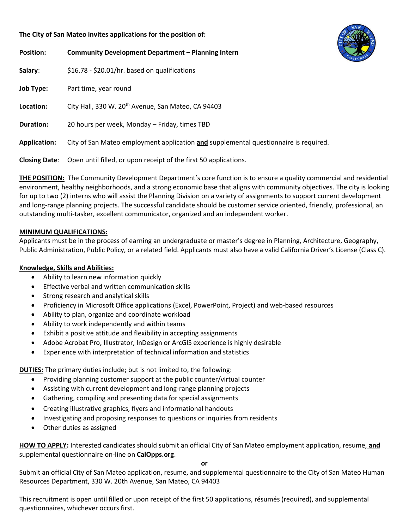# **The City of San Mateo invites applications for the position of:**

| <b>Position:</b>     | Community Development Department - Planning Intern                                   | ದ |
|----------------------|--------------------------------------------------------------------------------------|---|
| Salary:              | \$16.78 - \$20.01/hr. based on qualifications                                        |   |
| <b>Job Type:</b>     | Part time, year round                                                                |   |
| Location:            | City Hall, 330 W. 20 <sup>th</sup> Avenue, San Mateo, CA 94403                       |   |
| <b>Duration:</b>     | 20 hours per week, Monday - Friday, times TBD                                        |   |
| <b>Application:</b>  | City of San Mateo employment application and supplemental questionnaire is required. |   |
| <b>Closing Date:</b> | Open until filled, or upon receipt of the first 50 applications.                     |   |

**THE POSITION:** The Community Development Department's core function is to ensure a quality commercial and residential environment, healthy neighborhoods, and a strong economic base that aligns with community objectives. The city is looking for up to two (2) interns who will assist the Planning Division on a variety of assignments to support current development and long-range planning projects. The successful candidate should be customer service oriented, friendly, professional, an outstanding multi-tasker, excellent communicator, organized and an independent worker.

# **MINIMUM QUALIFICATIONS:**

Applicants must be in the process of earning an undergraduate or master's degree in Planning, Architecture, Geography, Public Administration, Public Policy, or a related field. Applicants must also have a valid California Driver's License (Class C).

### **Knowledge, Skills and Abilities:**

- Ability to learn new information quickly
- Effective verbal and written communication skills
- Strong research and analytical skills
- Proficiency in Microsoft Office applications (Excel, PowerPoint, Project) and web-based resources
- Ability to plan, organize and coordinate workload
- Ability to work independently and within teams
- Exhibit a positive attitude and flexibility in accepting assignments
- Adobe Acrobat Pro, Illustrator, InDesign or ArcGIS experience is highly desirable
- Experience with interpretation of technical information and statistics

**DUTIES:** The primary duties include; but is not limited to, the following:

- Providing planning customer support at the public counter/virtual counter
- Assisting with current development and long-range planning projects
- Gathering, compiling and presenting data for special assignments
- Creating illustrative graphics, flyers and informational handouts
- Investigating and proposing responses to questions or inquiries from residents
- Other duties as assigned

**HOW TO APPLY:** Interested candidates should submit an official City of San Mateo employment application, resume, **and** supplemental questionnaire on-line on **CalOpps.org**.

**or**

Submit an official City of San Mateo application, resume, and supplemental questionnaire to the City of San Mateo Human Resources Department, 330 W. 20th Avenue, San Mateo, CA 94403

This recruitment is open until filled or upon receipt of the first 50 applications, résumés (required), and supplemental questionnaires, whichever occurs first.